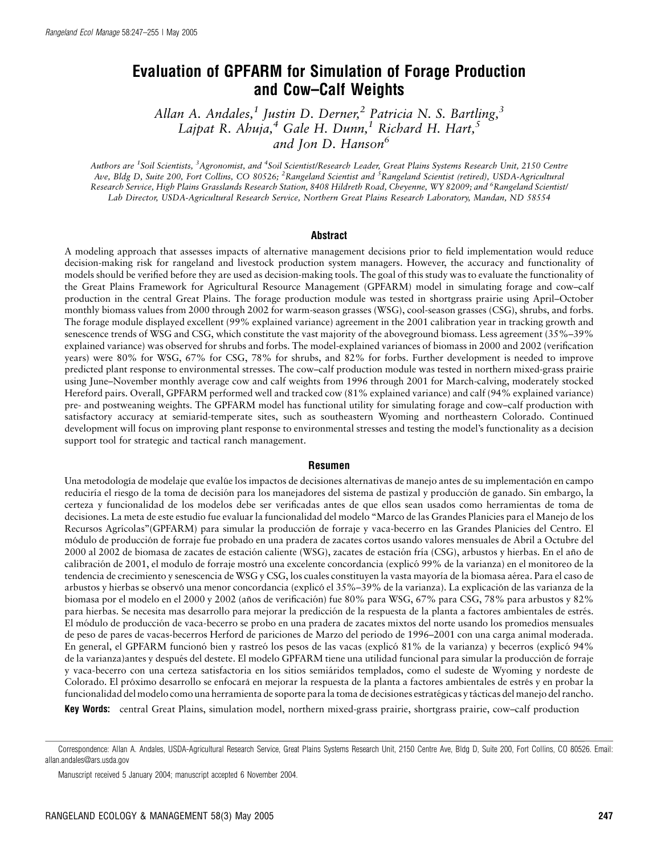# Evaluation of GPFARM for Simulation of Forage Production and Cow–Calf Weights

Allan A. Andales,<sup>1</sup> Justin D. Derner,<sup>2</sup> Patricia N. S. Bartling,<sup>3</sup> Lajpat R. Ahuja,<sup>4</sup> Gale H. Dunn,<sup>1</sup> Richard H. Hart,<sup>5</sup> and Ion D. Hanson<sup>6</sup>

Authors are <sup>1</sup>Soil Scientists, <sup>3</sup>Agronomist, and <sup>4</sup>Soil Scientist/Research Leader, Great Plains Systems Research Unit, 2150 Centre Ave, Bldg D, Suite 200, Fort Collins, CO 80526; <sup>2</sup> Rangeland Scientist and <sup>5</sup> Rangeland Scientist (retired), USDA-Agricultural Research Service, High Plains Grasslands Research Station, 8408 Hildreth Road, Cheyenne, WY 82009; and <sup>6</sup>Rangeland Scientist/ Lab Director, USDA-Agricultural Research Service, Northern Great Plains Research Laboratory, Mandan, ND 58554

#### Abstract

A modeling approach that assesses impacts of alternative management decisions prior to field implementation would reduce decision-making risk for rangeland and livestock production system managers. However, the accuracy and functionality of models should be verified before they are used as decision-making tools. The goal of this study was to evaluate the functionality of the Great Plains Framework for Agricultural Resource Management (GPFARM) model in simulating forage and cow–calf production in the central Great Plains. The forage production module was tested in shortgrass prairie using April–October monthly biomass values from 2000 through 2002 for warm-season grasses (WSG), cool-season grasses (CSG), shrubs, and forbs. The forage module displayed excellent (99% explained variance) agreement in the 2001 calibration year in tracking growth and senescence trends of WSG and CSG, which constitute the vast majority of the aboveground biomass. Less agreement (35%–39% explained variance) was observed for shrubs and forbs. The model-explained variances of biomass in 2000 and 2002 (verification years) were 80% for WSG, 67% for CSG, 78% for shrubs, and 82% for forbs. Further development is needed to improve predicted plant response to environmental stresses. The cow–calf production module was tested in northern mixed-grass prairie using June–November monthly average cow and calf weights from 1996 through 2001 for March-calving, moderately stocked Hereford pairs. Overall, GPFARM performed well and tracked cow (81% explained variance) and calf (94% explained variance) pre- and postweaning weights. The GPFARM model has functional utility for simulating forage and cow–calf production with satisfactory accuracy at semiarid-temperate sites, such as southeastern Wyoming and northeastern Colorado. Continued development will focus on improving plant response to environmental stresses and testing the model's functionality as a decision support tool for strategic and tactical ranch management.

#### Resumen

Una metodología de modelaje que evalúe los impactos de decisiones alternativas de manejo antes de su implementación en campo reduciría el riesgo de la toma de decisión para los manejadores del sistema de pastizal y producción de ganado. Sin embargo, la certeza y funcionalidad de los modelos debe ser verificadas antes de que ellos sean usados como herramientas de toma de decisiones. La meta de este estudio fue evaluar la funcionalidad del modelo ''Marco de las Grandes Planicies para el Manejo de los Recursos Agrícolas"(GPFARM) para simular la producción de forraje y vaca-becerro en las Grandes Planicies del Centro. El módulo de producción de forraje fue probado en una pradera de zacates cortos usando valores mensuales de Abril a Octubre del 2000 al 2002 de biomasa de zacates de estación caliente (WSG), zacates de estación fría (CSG), arbustos y hierbas. En el año de calibración de 2001, el modulo de forraje mostró una excelente concordancia (explicó 99% de la varianza) en el monitoreo de la tendencia de crecimiento y senescencia de WSG y CSG, los cuales constituyen la vasta mayoría de la biomasa aérea. Para el caso de arbustos y hierbas se observó una menor concordancia (explicó el 35%–39% de la varianza). La explicación de las varianza de la biomasa por el modelo en el 2000 y 2002 (años de verificación) fue 80% para WSG, 67% para CSG, 78% para arbustos y 82% para hierbas. Se necesita mas desarrollo para mejorar la predicción de la respuesta de la planta a factores ambientales de estrés. El módulo de producción de vaca-becerro se probo en una pradera de zacates mixtos del norte usando los promedios mensuales de peso de pares de vacas-becerros Herford de pariciones de Marzo del periodo de 1996–2001 con una carga animal moderada. En general, el GPFARM funcionó bien y rastreó los pesos de las vacas (explicó 81% de la varianza) y becerros (explicó 94% de la varianza)antes y después del destete. El modelo GPFARM tiene una utilidad funcional para simular la producción de forraje y vaca-becerro con una certeza satisfactoria en los sitios semia´ridos templados, como el sudeste de Wyoming y nordeste de Colorado. El próximo desarrollo se enfocará en mejorar la respuesta de la planta a factores ambientales de estrés y en probar la funcionalidad del modelo como una herramienta de soporte para la toma de decisiones estratégicas y tácticas del manejo del rancho.

Key Words: central Great Plains, simulation model, northern mixed-grass prairie, shortgrass prairie, cow–calf production

Manuscript received 5 January 2004; manuscript accepted 6 November 2004.

Correspondence: Allan A. Andales, USDA-Agricultural Research Service, Great Plains Systems Research Unit, 2150 Centre Ave, Bldg D, Suite 200, Fort Collins, CO 80526. Email: allan.andales@ars.usda.gov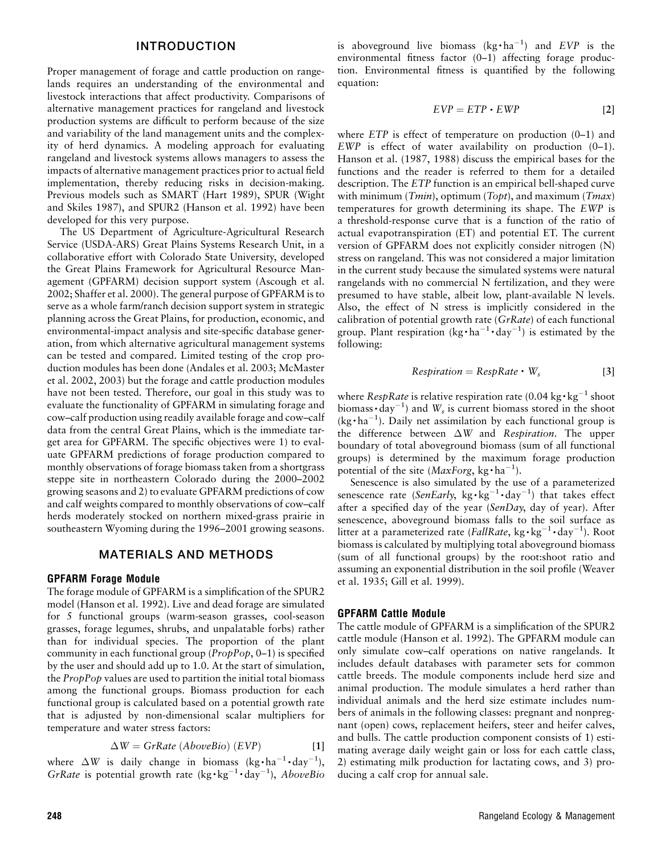## INTRODUCTION

Proper management of forage and cattle production on rangelands requires an understanding of the environmental and livestock interactions that affect productivity. Comparisons of alternative management practices for rangeland and livestock production systems are difficult to perform because of the size and variability of the land management units and the complexity of herd dynamics. A modeling approach for evaluating rangeland and livestock systems allows managers to assess the impacts of alternative management practices prior to actual field implementation, thereby reducing risks in decision-making. Previous models such as SMART (Hart 1989), SPUR (Wight and Skiles 1987), and SPUR2 (Hanson et al. 1992) have been developed for this very purpose.

The US Department of Agriculture-Agricultural Research Service (USDA-ARS) Great Plains Systems Research Unit, in a collaborative effort with Colorado State University, developed the Great Plains Framework for Agricultural Resource Management (GPFARM) decision support system (Ascough et al. 2002; Shaffer et al. 2000). The general purpose of GPFARM is to serve as a whole farm/ranch decision support system in strategic planning across the Great Plains, for production, economic, and environmental-impact analysis and site-specific database generation, from which alternative agricultural management systems can be tested and compared. Limited testing of the crop production modules has been done (Andales et al. 2003; McMaster et al. 2002, 2003) but the forage and cattle production modules have not been tested. Therefore, our goal in this study was to evaluate the functionality of GPFARM in simulating forage and cow–calf production using readily available forage and cow–calf data from the central Great Plains, which is the immediate target area for GPFARM. The specific objectives were 1) to evaluate GPFARM predictions of forage production compared to monthly observations of forage biomass taken from a shortgrass steppe site in northeastern Colorado during the 2000–2002 growing seasons and 2) to evaluate GPFARM predictions of cow and calf weights compared to monthly observations of cow–calf herds moderately stocked on northern mixed-grass prairie in southeastern Wyoming during the 1996–2001 growing seasons.

## MATERIALS AND METHODS

#### GPFARM Forage Module

The forage module of GPFARM is a simplification of the SPUR2 model (Hanson et al. 1992). Live and dead forage are simulated for 5 functional groups (warm-season grasses, cool-season grasses, forage legumes, shrubs, and unpalatable forbs) rather than for individual species. The proportion of the plant community in each functional group  $(PropPop, 0-1)$  is specified by the user and should add up to 1.0. At the start of simulation, the PropPop values are used to partition the initial total biomass among the functional groups. Biomass production for each functional group is calculated based on a potential growth rate that is adjusted by non-dimensional scalar multipliers for temperature and water stress factors:

$$
\Delta W = GrRate (Above Bio) (EVP)
$$
 [1]

where  $\Delta W$  is daily change in biomass (kg $\cdot$ ha<sup>-1</sup> $\cdot$ day<sup>-1</sup>), GrRate is potential growth rate  $(kg \cdot kg^{-1} \cdot day^{-1})$ , AboveBio

is aboveground live biomass  $(kg \cdot ha^{-1})$  and  $EVP$  is the environmental fitness factor (0-1) affecting forage production. Environmental fitness is quantified by the following equation:

$$
EVP = ETP \cdot EWP
$$
 [2]

where *ETP* is effect of temperature on production  $(0-1)$  and EWP is effect of water availability on production  $(0-1)$ . Hanson et al. (1987, 1988) discuss the empirical bases for the functions and the reader is referred to them for a detailed description. The ETP function is an empirical bell-shaped curve with minimum (*Tmin*), optimum (*Topt*), and maximum (*Tmax*) temperatures for growth determining its shape. The EWP is a threshold-response curve that is a function of the ratio of actual evapotranspiration (ET) and potential ET. The current version of GPFARM does not explicitly consider nitrogen (N) stress on rangeland. This was not considered a major limitation in the current study because the simulated systems were natural rangelands with no commercial N fertilization, and they were presumed to have stable, albeit low, plant-available N levels. Also, the effect of N stress is implicitly considered in the calibration of potential growth rate ( $GrRate$ ) of each functional group. Plant respiration (kg·ha<sup>-1</sup>·day<sup>-1</sup>) is estimated by the following:

$$
Respiration = RespRate \cdot W_s \qquad [3]
$$

where RespRate is relative respiration rate (0.04 kg $\cdot$ kg $^{-1}$  shoot biomass  $\cdot$  day<sup>-1</sup>) and  $W_s$  is current biomass stored in the shoot  $(kg \cdot ha^{-1})$ . Daily net assimilation by each functional group is the difference between  $\Delta W$  and Respiration. The upper boundary of total aboveground biomass (sum of all functional groups) is determined by the maximum forage production potential of the site ( $MaxForg$ , kg·ha<sup>-1</sup>).

Senescence is also simulated by the use of a parameterized senescence rate (SenEarly,  $kg \cdot kg^{-1} \cdot day^{-1}$ ) that takes effect after a specified day of the year (SenDay, day of year). After senescence, aboveground biomass falls to the soil surface as litter at a parameterized rate (FallRate, kg·kg<sup>-1</sup>·day<sup>-1</sup>). Root biomass is calculated by multiplying total aboveground biomass (sum of all functional groups) by the root:shoot ratio and assuming an exponential distribution in the soil profile (Weaver et al. 1935; Gill et al. 1999).

#### GPFARM Cattle Module

The cattle module of GPFARM is a simplification of the SPUR2 cattle module (Hanson et al. 1992). The GPFARM module can only simulate cow–calf operations on native rangelands. It includes default databases with parameter sets for common cattle breeds. The module components include herd size and animal production. The module simulates a herd rather than individual animals and the herd size estimate includes numbers of animals in the following classes: pregnant and nonpregnant (open) cows, replacement heifers, steer and heifer calves, and bulls. The cattle production component consists of 1) estimating average daily weight gain or loss for each cattle class, 2) estimating milk production for lactating cows, and 3) producing a calf crop for annual sale.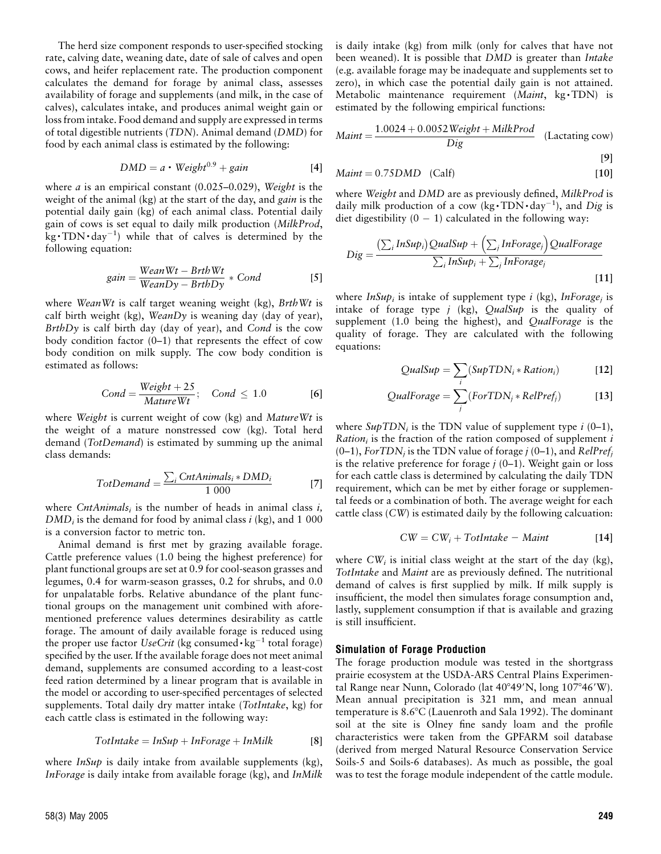The herd size component responds to user-specified stocking rate, calving date, weaning date, date of sale of calves and open cows, and heifer replacement rate. The production component calculates the demand for forage by animal class, assesses availability of forage and supplements (and milk, in the case of calves), calculates intake, and produces animal weight gain or loss from intake. Food demand and supply are expressed in terms of total digestible nutrients (TDN). Animal demand (DMD) for food by each animal class is estimated by the following:

$$
DMD = a \cdot Weight^{0.9} + gain
$$
 [4]

where *a* is an empirical constant  $(0.025-0.029)$ , *Weight* is the weight of the animal (kg) at the start of the day, and *gain* is the potential daily gain (kg) of each animal class. Potential daily gain of cows is set equal to daily milk production (MilkProd,  $kg\cdot TDN\cdot day^{-1}$ ) while that of calves is determined by the following equation:

$$
gain = \frac{WeanWt - BrtbWt}{WeanDy - BrtbDy} * Cond
$$
 [5]

where WeanWt is calf target weaning weight (kg),  $B$ rthWt is calf birth weight (kg), WeanDy is weaning day (day of year), BrthDy is calf birth day (day of year), and Cond is the cow body condition factor (0–1) that represents the effect of cow body condition on milk supply. The cow body condition is estimated as follows:

$$
Cond = \frac{Weight + 25}{MatureWt}; \quad Cond \le 1.0
$$
 [6]

where *Weight* is current weight of cow (kg) and *Mature Wt* is the weight of a mature nonstressed cow (kg). Total herd demand (TotDemand) is estimated by summing up the animal class demands:

$$
TotDemand = \frac{\sum_{i} ContAnimals_{i} * DMD_{i}}{1\ 000}
$$
 [7]

where CntAnimals<sub>i</sub> is the number of heads in animal class *i*,  $DMD_i$  is the demand for food by animal class i (kg), and 1 000 is a conversion factor to metric ton.

Animal demand is first met by grazing available forage. Cattle preference values (1.0 being the highest preference) for plant functional groups are set at 0.9 for cool-season grasses and legumes, 0.4 for warm-season grasses, 0.2 for shrubs, and 0.0 for unpalatable forbs. Relative abundance of the plant functional groups on the management unit combined with aforementioned preference values determines desirability as cattle forage. The amount of daily available forage is reduced using the proper use factor UseCrit (kg consumed  $\cdot$  kg<sup>-1</sup> total forage) specified by the user. If the available forage does not meet animal demand, supplements are consumed according to a least-cost feed ration determined by a linear program that is available in the model or according to user-specified percentages of selected supplements. Total daily dry matter intake (TotIntake, kg) for each cattle class is estimated in the following way:

$$
To tIntake = InSup + InForage + InMilk
$$
 [8]

where *InSup* is daily intake from available supplements (kg), InForage is daily intake from available forage (kg), and InMilk is daily intake (kg) from milk (only for calves that have not been weaned). It is possible that DMD is greater than Intake (e.g. available forage may be inadequate and supplements set to zero), in which case the potential daily gain is not attained. Metabolic maintenance requirement (Maint, kg·TDN) is estimated by the following empirical functions:

$$
Maint = \frac{1.0024 + 0.0052 \text{Weight} + \text{MilkProd}}{\text{Dig}}
$$
 (Lactating cow)

$$
^{[9]}
$$

$$
Maint = 0.75DMD \quad (Call)
$$
 [10]

where Weight and DMD are as previously defined, MilkProd is daily milk production of a cow (kg $\cdot$ TDN $\cdot$ day<sup>-1</sup>), and Dig is diet digestibility  $(0 - 1)$  calculated in the following way:

$$
Dig = \frac{\left(\sum_{i} InSup_{i}\right) QualSup + \left(\sum_{i} InForage_{i}\right) QualForage}{\sum_{i} InSup_{i} + \sum_{i} InForage_{i}}
$$
\n[11]

where  $InSup_i$  is intake of supplement type i (kg), InForage<sub>i</sub> is intake of forage type *j* (kg),  $Qual Sup$  is the quality of supplement (1.0 being the highest), and *QualForage* is the quality of forage. They are calculated with the following equations:

$$
QualSup = \sum_{i} (SupTDN_i * Ration_i)
$$
 [12]

$$
QualFor age = \sum_{j} (For TDN_j * RelPref_j)
$$
 [13]

where  $\text{SupTDN}_i$  is the TDN value of supplement type i (0–1), Ration<sub>i</sub> is the fraction of the ration composed of supplement  $i$  $(0-1)$ , ForTDN<sub>i</sub> is the TDN value of forage j  $(0-1)$ , and RelPref<sub>i</sub> is the relative preference for forage  $j$  (0–1). Weight gain or loss for each cattle class is determined by calculating the daily TDN requirement, which can be met by either forage or supplemental feeds or a combination of both. The average weight for each cattle class (CW) is estimated daily by the following calcuation:

$$
CW = CW_i + TotIntake - Maint \qquad [14]
$$

where  $CW_i$  is initial class weight at the start of the day (kg), TotIntake and Maint are as previously defined. The nutritional demand of calves is first supplied by milk. If milk supply is insufficient, the model then simulates forage consumption and, lastly, supplement consumption if that is available and grazing is still insufficient.

#### Simulation of Forage Production

The forage production module was tested in the shortgrass prairie ecosystem at the USDA-ARS Central Plains Experimental Range near Nunn, Colorado (lat 40°49'N, long 107°46'W). Mean annual precipitation is 321 mm, and mean annual temperature is 8.6°C (Lauenroth and Sala 1992). The dominant soil at the site is Olney fine sandy loam and the profile characteristics were taken from the GPFARM soil database (derived from merged Natural Resource Conservation Service Soils-5 and Soils-6 databases). As much as possible, the goal was to test the forage module independent of the cattle module.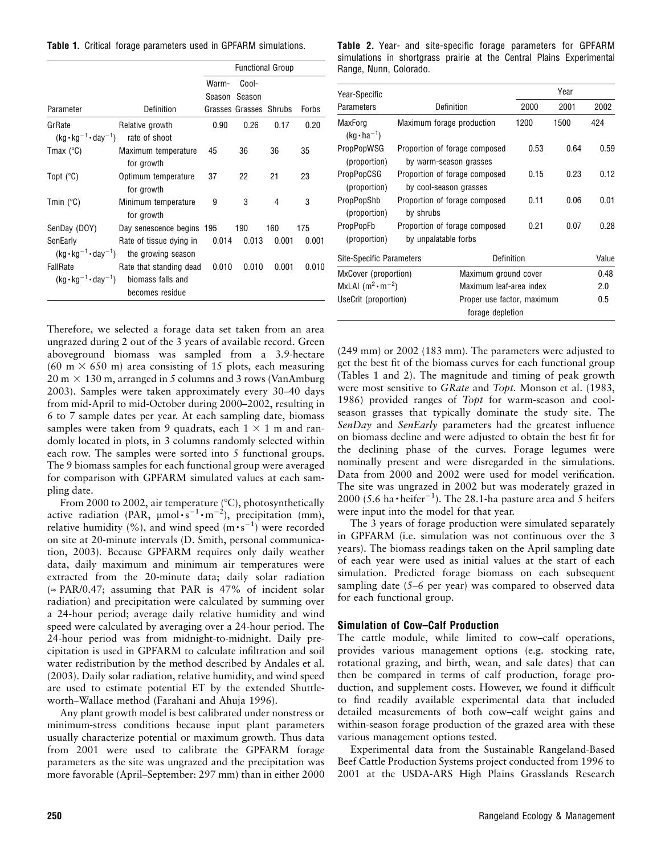|  |  |  |  |  |  |  |  | Table 1. Critical forage parameters used in GPFARM simulations. |
|--|--|--|--|--|--|--|--|-----------------------------------------------------------------|
|--|--|--|--|--|--|--|--|-----------------------------------------------------------------|

|                                                          |                                                                 |               | <b>Functional Group</b> |       |       |
|----------------------------------------------------------|-----------------------------------------------------------------|---------------|-------------------------|-------|-------|
|                                                          |                                                                 | Warm-         | Cool-                   |       |       |
|                                                          |                                                                 | Season Season |                         |       |       |
| Parameter                                                | Definition                                                      |               | Grasses Grasses Shrubs  |       | Forbs |
| GrRate<br>$(kg \cdot kg^{-1} \cdot day^{-1})$            | Relative growth<br>rate of shoot                                | 0.90          | 0.26                    | 0.17  | 0.20  |
| Tmax $(^{\circ}C)$                                       | Maximum temperature<br>for growth                               | 45            | 36                      | 36    | 35    |
| Topt $(^{\circ}C)$                                       | Optimum temperature<br>for growth                               | 37            | 22                      | 21    | 23    |
| Tmin $(^{\circ}C)$                                       | Minimum temperature<br>for growth                               | 9             | 3                       | 4     | 3     |
| SenDay (DOY)                                             | Day senescence begins 195                                       |               | 190                     | 160   | 175   |
| SenEarly<br>$(kg \cdot kg^{-1} \cdot day^{-1})$          | Rate of tissue dying in<br>the growing season                   | 0.014         | 0.013                   | 0.001 | 0.001 |
| FallRate<br>(kg $\cdot$ kg $^{-1}$ $\cdot$ day $^{-1}$ ) | Rate that standing dead<br>biomass falls and<br>becomes residue | 0.010         | 0.010                   | 0.001 | 0.010 |

Therefore, we selected a forage data set taken from an area ungrazed during 2 out of the 3 years of available record. Green aboveground biomass was sampled from a 3.9-hectare (60 m  $\times$  650 m) area consisting of 15 plots, each measuring  $20 \text{ m} \times 130 \text{ m}$ , arranged in 5 columns and 3 rows (VanAmburg 2003). Samples were taken approximately every 30–40 days from mid-April to mid-October during 2000–2002, resulting in 6 to 7 sample dates per year. At each sampling date, biomass samples were taken from 9 quadrats, each  $1 \times 1$  m and randomly located in plots, in 3 columns randomly selected within each row. The samples were sorted into 5 functional groups. The 9 biomass samples for each functional group were averaged for comparison with GPFARM simulated values at each sampling date.

From 2000 to 2002, air temperature  $(°C)$ , photosynthetically active radiation (PAR,  $\mu$ mol·s<sup>-1</sup>·m<sup>-2</sup>), precipitation (mm), relative humidity (%), and wind speed  $(m \cdot s^{-1})$  were recorded on site at 20-minute intervals (D. Smith, personal communication, 2003). Because GPFARM requires only daily weather data, daily maximum and minimum air temperatures were extracted from the 20-minute data; daily solar radiation  $\approx$  PAR/0.47; assuming that PAR is 47% of incident solar radiation) and precipitation were calculated by summing over a 24-hour period; average daily relative humidity and wind speed were calculated by averaging over a 24-hour period. The 24-hour period was from midnight-to-midnight. Daily precipitation is used in GPFARM to calculate infiltration and soil water redistribution by the method described by Andales et al. (2003). Daily solar radiation, relative humidity, and wind speed are used to estimate potential ET by the extended Shuttleworth–Wallace method (Farahani and Ahuja 1996).

Any plant growth model is best calibrated under nonstress or minimum-stress conditions because input plant parameters usually characterize potential or maximum growth. Thus data from 2001 were used to calibrate the GPFARM forage parameters as the site was ungrazed and the precipitation was more favorable (April–September: 297 mm) than in either 2000

Table 2. Year- and site-specific forage parameters for GPFARM simulations in shortgrass prairie at the Central Plains Experimental Range, Nunn, Colorado.

| Year-Specific                     |                                                         |                                                | Year |      |  |  |
|-----------------------------------|---------------------------------------------------------|------------------------------------------------|------|------|--|--|
| Parameters                        | Definition                                              | 2000                                           | 2001 | 2002 |  |  |
| MaxForg<br>$(kq \cdot ha^{-1})$   | Maximum forage production                               | 1200                                           | 1500 | 424  |  |  |
| <b>PropPopWSG</b><br>(proportion) | Proportion of forage composed<br>by warm-season grasses | 0.53                                           | 0.64 | 0.59 |  |  |
| PropPopCSG<br>(proportion)        | Proportion of forage composed<br>by cool-season grasses | 0.15                                           | 0.23 | 0.12 |  |  |
| PropPopShb<br>(proportion)        | Proportion of forage composed<br>by shrubs              | 0.11                                           | 0.06 | 0.01 |  |  |
| PropPopFb<br>(proportion)         | Proportion of forage composed<br>by unpalatable forbs   | 0.21                                           | 0.07 | 0.28 |  |  |
| Site-Specific Parameters          |                                                         | Definition                                     |      |      |  |  |
| MxCover (proportion)              |                                                         | Maximum ground cover                           |      |      |  |  |
| MxLAI $(m^2 \cdot m^{-2})$        |                                                         | Maximum leaf-area index                        |      |      |  |  |
| UseCrit (proportion)              |                                                         | Proper use factor, maximum<br>forage depletion |      |      |  |  |

(249 mm) or 2002 (183 mm). The parameters were adjusted to get the best fit of the biomass curves for each functional group (Tables 1 and 2). The magnitude and timing of peak growth were most sensitive to GRate and Topt. Monson et al. (1983, 1986) provided ranges of Topt for warm-season and coolseason grasses that typically dominate the study site. The SenDay and SenEarly parameters had the greatest influence on biomass decline and were adjusted to obtain the best fit for the declining phase of the curves. Forage legumes were nominally present and were disregarded in the simulations. Data from 2000 and 2002 were used for model verification. The site was ungrazed in 2002 but was moderately grazed in 2000 (5.6 ha  $\cdot$  heifer<sup>-1</sup>). The 28.1-ha pasture area and 5 heifers were input into the model for that year.

The 3 years of forage production were simulated separately in GPFARM (i.e. simulation was not continuous over the 3 years). The biomass readings taken on the April sampling date of each year were used as initial values at the start of each simulation. Predicted forage biomass on each subsequent sampling date (5–6 per year) was compared to observed data for each functional group.

# Simulation of Cow–Calf Production

The cattle module, while limited to cow–calf operations, provides various management options (e.g. stocking rate, rotational grazing, and birth, wean, and sale dates) that can then be compared in terms of calf production, forage production, and supplement costs. However, we found it difficult to find readily available experimental data that included detailed measurements of both cow–calf weight gains and within-season forage production of the grazed area with these various management options tested.

Experimental data from the Sustainable Rangeland-Based Beef Cattle Production Systems project conducted from 1996 to 2001 at the USDA-ARS High Plains Grasslands Research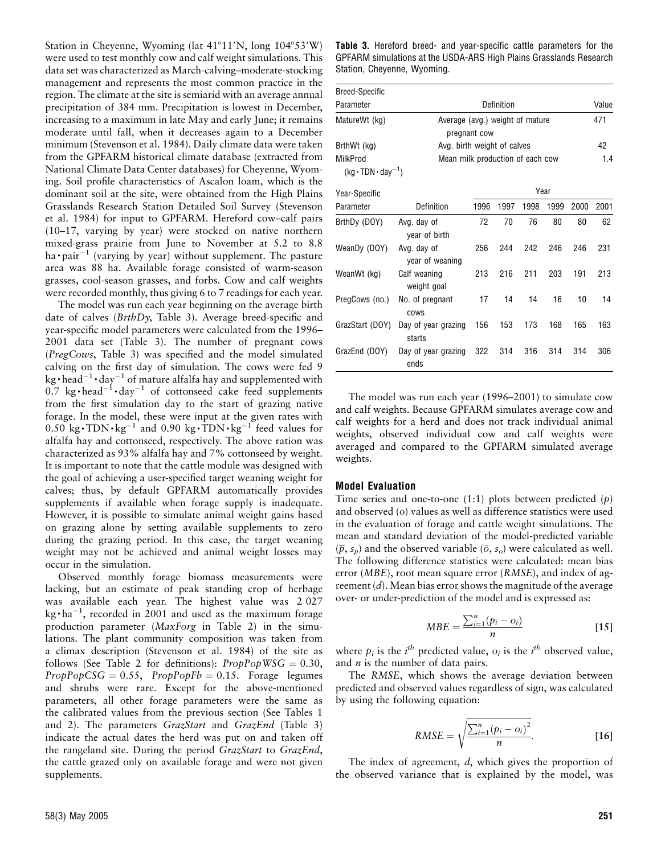Station in Cheyenne, Wyoming (lat  $41^{\circ}11'$ N, long  $104^{\circ}53'$ W) were used to test monthly cow and calf weight simulations. This data set was characterized as March-calving–moderate-stocking management and represents the most common practice in the region. The climate at the site is semiarid with an average annual precipitation of 384 mm. Precipitation is lowest in December, increasing to a maximum in late May and early June; it remains moderate until fall, when it decreases again to a December minimum (Stevenson et al. 1984). Daily climate data were taken from the GPFARM historical climate database (extracted from National Climate Data Center databases) for Cheyenne, Wyoming. Soil profile characteristics of Ascalon loam, which is the dominant soil at the site, were obtained from the High Plains Grasslands Research Station Detailed Soil Survey (Stevenson et al. 1984) for input to GPFARM. Hereford cow–calf pairs (10–17, varying by year) were stocked on native northern mixed-grass prairie from June to November at 5.2 to 8.8 ha  $\cdot$  pair<sup>-1</sup> (varying by year) without supplement. The pasture area was 88 ha. Available forage consisted of warm-season grasses, cool-season grasses, and forbs. Cow and calf weights were recorded monthly, thus giving 6 to 7 readings for each year.

The model was run each year beginning on the average birth date of calves (BrthDy, Table 3). Average breed-specific and year-specific model parameters were calculated from the 1996– 2001 data set (Table 3). The number of pregnant cows (PregCows, Table 3) was specified and the model simulated calving on the first day of simulation. The cows were fed 9 kg•head $^{-1}$ •day $^{-1}$  of mature alfalfa hay and supplemented with 0.7 kg $\cdot$ head<sup>-1</sup> $\cdot$ day<sup>-1</sup> of cottonseed cake feed supplements from the first simulation day to the start of grazing native forage. In the model, these were input at the given rates with  $0.50 \text{ kg}\cdot\text{TDN} \cdot \text{kg}^{-1}$  and  $0.90 \text{ kg}\cdot\text{TDN} \cdot \text{kg}^{-1}$  feed values for alfalfa hay and cottonseed, respectively. The above ration was characterized as 93% alfalfa hay and 7% cottonseed by weight. It is important to note that the cattle module was designed with the goal of achieving a user-specified target weaning weight for calves; thus, by default GPFARM automatically provides supplements if available when forage supply is inadequate. However, it is possible to simulate animal weight gains based on grazing alone by setting available supplements to zero during the grazing period. In this case, the target weaning weight may not be achieved and animal weight losses may occur in the simulation.

Observed monthly forage biomass measurements were lacking, but an estimate of peak standing crop of herbage was available each year. The highest value was 2 027  $\text{kg} \cdot \text{ha}^{-1}$ , recorded in 2001 and used as the maximum forage production parameter (MaxForg in Table 2) in the simulations. The plant community composition was taken from a climax description (Stevenson et al. 1984) of the site as follows (See Table 2 for definitions):  $PropPopWSG = 0.30$ ,  $PropPopCSG = 0.55$ ,  $PropPopFb = 0.15$ . Forage legumes and shrubs were rare. Except for the above-mentioned parameters, all other forage parameters were the same as the calibrated values from the previous section (See Tables 1 and 2). The parameters GrazStart and GrazEnd (Table 3) indicate the actual dates the herd was put on and taken off the rangeland site. During the period GrazStart to GrazEnd, the cattle grazed only on available forage and were not given supplements.

Table 3. Hereford breed- and year-specific cattle parameters for the GPFARM simulations at the USDA-ARS High Plains Grasslands Research Station, Cheyenne, Wyoming.

| <b>Breed-Specific</b>           |                                  |                                 |      |      |      |      |       |
|---------------------------------|----------------------------------|---------------------------------|------|------|------|------|-------|
| Parameter                       |                                  | Definition                      |      |      |      |      | Value |
| MatureWt (kg)                   |                                  | Average (avg.) weight of mature |      |      |      |      | 471   |
|                                 |                                  | pregnant cow                    |      |      |      |      |       |
| BrthWt (kg)                     | Avg. birth weight of calves      |                                 |      |      | 42   |      |       |
| MilkProd                        | Mean milk production of each cow |                                 |      |      |      |      | 1.4   |
| $(kg \cdot TDN \cdot day^{-1})$ |                                  |                                 |      |      |      |      |       |
| Year-Specific                   |                                  |                                 |      |      | Year |      |       |
| Parameter                       | Definition                       | 1996                            | 1997 | 1998 | 1999 | 2000 | 2001  |
| BrthDy (DOY)                    | Avg. day of<br>year of birth     | 72                              | 70   | 76   | 80   | 80   | 62    |
| WeanDy (DOY)                    | Avg. day of<br>year of weaning   | 256                             | 244  | 242  | 246  | 246  | 231   |
| WeanWt (kg)                     | Calf weaning<br>weight goal      | 213                             | 216  | 211  | 203  | 191  | 213   |
| PregCows (no.)                  | No. of pregnant<br><b>COWS</b>   | 17                              | 14   | 14   | 16   | 10   | 14    |
| GrazStart (DOY)                 | Day of year grazing<br>starts    | 156                             | 153  | 173  | 168  | 165  | 163   |
| GrazEnd (DOY)                   | Day of year grazing<br>ends      | 322                             | 314  | 316  | 314  | 314  | 306   |

The model was run each year (1996–2001) to simulate cow and calf weights. Because GPFARM simulates average cow and calf weights for a herd and does not track individual animal weights, observed individual cow and calf weights were averaged and compared to the GPFARM simulated average weights.

## Model Evaluation

Time series and one-to-one  $(1:1)$  plots between predicted  $(p)$ and observed (o) values as well as difference statistics were used in the evaluation of forage and cattle weight simulations. The mean and standard deviation of the model-predicted variable  $(\overline{p}, s_p)$  and the observed variable ( $\overline{o}, s_o$ ) were calculated as well. The following difference statistics were calculated: mean bias error (MBE), root mean square error (RMSE), and index of agreement (d). Mean bias error shows the magnitude of the average over- or under-prediction of the model and is expressed as:

$$
MBE = \frac{\sum_{i=1}^{n} (p_i - o_i)}{n}
$$
 [15]

where  $p_i$  is the  $i^{th}$  predicted value,  $o_i$  is the  $i^{th}$  observed value, and  $n$  is the number of data pairs.

The RMSE, which shows the average deviation between predicted and observed values regardless of sign, was calculated by using the following equation:

RMSE = 
$$
\sqrt{\frac{\sum_{i=1}^{n} (p_i - o_i)^2}{n}}
$$
. [16]

The index of agreement, d, which gives the proportion of the observed variance that is explained by the model, was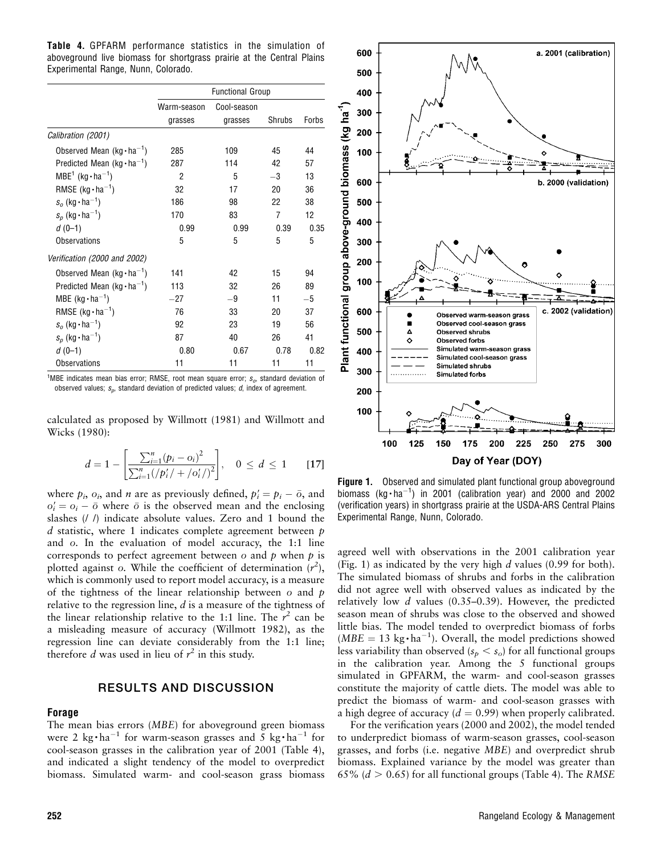Table 4. GPFARM performance statistics in the simulation of aboveground live biomass for shortgrass prairie at the Central Plains Experimental Range, Nunn, Colorado.

|                                                 | <b>Functional Group</b> |             |                |       |
|-------------------------------------------------|-------------------------|-------------|----------------|-------|
|                                                 | Warm-season             | Cool-season |                |       |
|                                                 | grasses                 | grasses     | Shrubs         | Forbs |
| Calibration (2001)                              |                         |             |                |       |
| Observed Mean (kg $\cdot$ ha <sup>-1</sup> )    | 285                     | 109         | 45             | 44    |
| Predicted Mean (kg $\cdot$ ha <sup>-1</sup> )   | 287                     | 114         | 42             | 57    |
| MBE <sup>1</sup> (kg $\cdot$ ha <sup>-1</sup> ) | $\overline{2}$          | 5           | $-3$           | 13    |
| RMSE $(kg \cdot ha^{-1})$                       | 32                      | 17          | 20             | 36    |
| $s_o$ (kg $\cdot$ ha <sup>-1</sup> )            | 186                     | 98          | 22             | 38    |
| $s_p$ (kg $\cdot$ ha <sup>-1</sup> )            | 170                     | 83          | $\overline{7}$ | 12    |
| $d(0-1)$                                        | 0.99                    | 0.99        | 0.39           | 0.35  |
| <b>Observations</b>                             | 5                       | 5           | 5              | 5     |
| Verification (2000 and 2002)                    |                         |             |                |       |
| Observed Mean (kg $\cdot$ ha <sup>-1</sup> )    | 141                     | 42          | 15             | 94    |
| Predicted Mean (kg $\cdot$ ha <sup>-1</sup> )   | 113                     | 32          | 26             | 89    |
| MBE $(kg \cdot ha^{-1})$                        | $-27$                   | $-9$        | 11             | $-5$  |
| RMSE $(kg \cdot ha^{-1})$                       | 76                      | 33          | 20             | 37    |
| $s_o$ (kg $\cdot$ ha <sup>-1</sup> )            | 92                      | 23          | 19             | 56    |
| $s_p$ (kg $\cdot$ ha <sup>-1</sup> )            | 87                      | 40          | 26             | 41    |
| $d(0-1)$                                        | 0.80                    | 0.67        | 0.78           | 0.82  |
| <b>Observations</b>                             | 11                      | 11          | 11             | 11    |

<sup>1</sup>MBE indicates mean bias error; RMSE, root mean square error;  $s_o$ , standard deviation of observed values;  $s_p$ , standard deviation of predicted values;  $d$ , index of agreement.

calculated as proposed by Willmott (1981) and Willmott and Wicks (1980):

$$
d = 1 - \left[ \frac{\sum_{i=1}^{n} (p_i - o_i)^2}{\sum_{i=1}^{n} (p_i / q_i / o_i / )^2} \right], \quad 0 \le d \le 1
$$
 [17]

where  $p_i$ ,  $o_i$ , and *n* are as previously defined,  $p'_i = p_i - \bar{o}$ , and  $o_i' = o_i - \bar{o}$  where  $\bar{o}$  is the observed mean and the enclosing slashes (/ /) indicate absolute values. Zero and 1 bound the  $d$  statistic, where 1 indicates complete agreement between  $p$ and o. In the evaluation of model accuracy, the 1:1 line corresponds to perfect agreement between  $\sigma$  and  $\dot{p}$  when  $\dot{p}$  is plotted against o. While the coefficient of determination  $(r^2)$ , which is commonly used to report model accuracy, is a measure of the tightness of the linear relationship between  $o$  and  $p$ relative to the regression line,  $d$  is a measure of the tightness of the linear relationship relative to the 1:1 line. The  $r^2$  can be a misleading measure of accuracy (Willmott 1982), as the regression line can deviate considerably from the 1:1 line; therefore d was used in lieu of  $r^2$  in this study.

## RESULTS AND DISCUSSION

# Forage

The mean bias errors (MBE) for aboveground green biomass were 2 kg $\cdot$ ha<sup>-1</sup> for warm-season grasses and 5 kg $\cdot$ ha<sup>-1</sup> for cool-season grasses in the calibration year of 2001 (Table 4), and indicated a slight tendency of the model to overpredict biomass. Simulated warm- and cool-season grass biomass



Figure 1. Observed and simulated plant functional group aboveground biomass ( $kg \cdot ha^{-1}$ ) in 2001 (calibration year) and 2000 and 2002 (verification years) in shortgrass prairie at the USDA-ARS Central Plains Experimental Range, Nunn, Colorado.

agreed well with observations in the 2001 calibration year (Fig. 1) as indicated by the very high d values (0.99 for both). The simulated biomass of shrubs and forbs in the calibration did not agree well with observed values as indicated by the relatively low  $d$  values (0.35–0.39). However, the predicted season mean of shrubs was close to the observed and showed little bias. The model tended to overpredict biomass of forbs  $(MBE = 13 \text{ kg} \cdot \text{ha}^{-1})$ . Overall, the model predictions showed less variability than observed  $(s_p < s_o)$  for all functional groups in the calibration year. Among the 5 functional groups simulated in GPFARM, the warm- and cool-season grasses constitute the majority of cattle diets. The model was able to predict the biomass of warm- and cool-season grasses with a high degree of accuracy ( $d = 0.99$ ) when properly calibrated.

For the verification years (2000 and 2002), the model tended to underpredict biomass of warm-season grasses, cool-season grasses, and forbs (i.e. negative MBE) and overpredict shrub biomass. Explained variance by the model was greater than 65% ( $d > 0.65$ ) for all functional groups (Table 4). The RMSE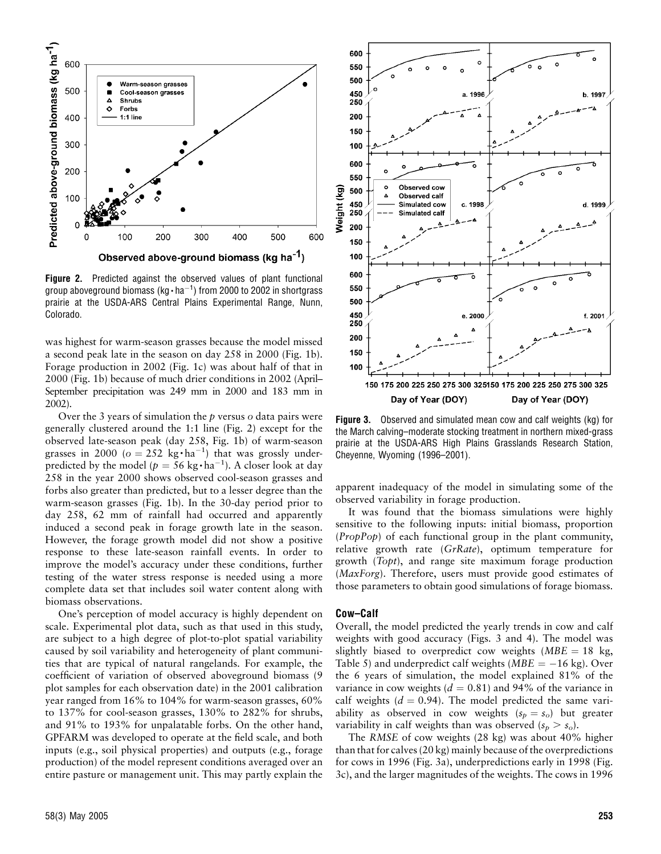

Figure 2. Predicted against the observed values of plant functional group aboveground biomass (kg $\cdot$  ha $^{-1}$ ) from 2000 to 2002 in shortgrass prairie at the USDA-ARS Central Plains Experimental Range, Nunn, Colorado.

was highest for warm-season grasses because the model missed a second peak late in the season on day 258 in 2000 (Fig. 1b). Forage production in 2002 (Fig. 1c) was about half of that in 2000 (Fig. 1b) because of much drier conditions in 2002 (April– September precipitation was 249 mm in 2000 and 183 mm in 2002).

Over the 3 years of simulation the  $p$  versus o data pairs were generally clustered around the 1:1 line (Fig. 2) except for the observed late-season peak (day 258, Fig. 1b) of warm-season grasses in 2000 ( $o = 252$  kg·ha<sup>-1</sup>) that was grossly underpredicted by the model ( $p = 56 \text{ kg} \cdot \text{ha}^{-1}$ ). A closer look at day 258 in the year 2000 shows observed cool-season grasses and forbs also greater than predicted, but to a lesser degree than the warm-season grasses (Fig. 1b). In the 30-day period prior to day 258, 62 mm of rainfall had occurred and apparently induced a second peak in forage growth late in the season. However, the forage growth model did not show a positive response to these late-season rainfall events. In order to improve the model's accuracy under these conditions, further testing of the water stress response is needed using a more complete data set that includes soil water content along with biomass observations.

One's perception of model accuracy is highly dependent on scale. Experimental plot data, such as that used in this study, are subject to a high degree of plot-to-plot spatial variability caused by soil variability and heterogeneity of plant communities that are typical of natural rangelands. For example, the coefficient of variation of observed aboveground biomass (9 plot samples for each observation date) in the 2001 calibration year ranged from 16% to 104% for warm-season grasses, 60% to 137% for cool-season grasses, 130% to 282% for shrubs, and 91% to 193% for unpalatable forbs. On the other hand, GPFARM was developed to operate at the field scale, and both inputs (e.g., soil physical properties) and outputs (e.g., forage production) of the model represent conditions averaged over an entire pasture or management unit. This may partly explain the



Figure 3. Observed and simulated mean cow and calf weights (kg) for the March calving–moderate stocking treatment in northern mixed-grass prairie at the USDA-ARS High Plains Grasslands Research Station, Cheyenne, Wyoming (1996–2001).

apparent inadequacy of the model in simulating some of the observed variability in forage production.

It was found that the biomass simulations were highly sensitive to the following inputs: initial biomass, proportion (PropPop) of each functional group in the plant community, relative growth rate (GrRate), optimum temperature for growth (Topt), and range site maximum forage production (MaxForg). Therefore, users must provide good estimates of those parameters to obtain good simulations of forage biomass.

#### Cow–Calf

Overall, the model predicted the yearly trends in cow and calf weights with good accuracy (Figs. 3 and 4). The model was slightly biased to overpredict cow weights  $(MBE = 18$  kg, Table 5) and underpredict calf weights ( $MBE = -16$  kg). Over the 6 years of simulation, the model explained 81% of the variance in cow weights ( $d = 0.81$ ) and 94% of the variance in calf weights ( $d = 0.94$ ). The model predicted the same variability as observed in cow weights  $(s_p = s_o)$  but greater variability in calf weights than was observed  $(s_p > s_o)$ .

The RMSE of cow weights (28 kg) was about 40% higher than that for calves (20 kg) mainly because of the overpredictions for cows in 1996 (Fig. 3a), underpredictions early in 1998 (Fig. 3c), and the larger magnitudes of the weights. The cows in 1996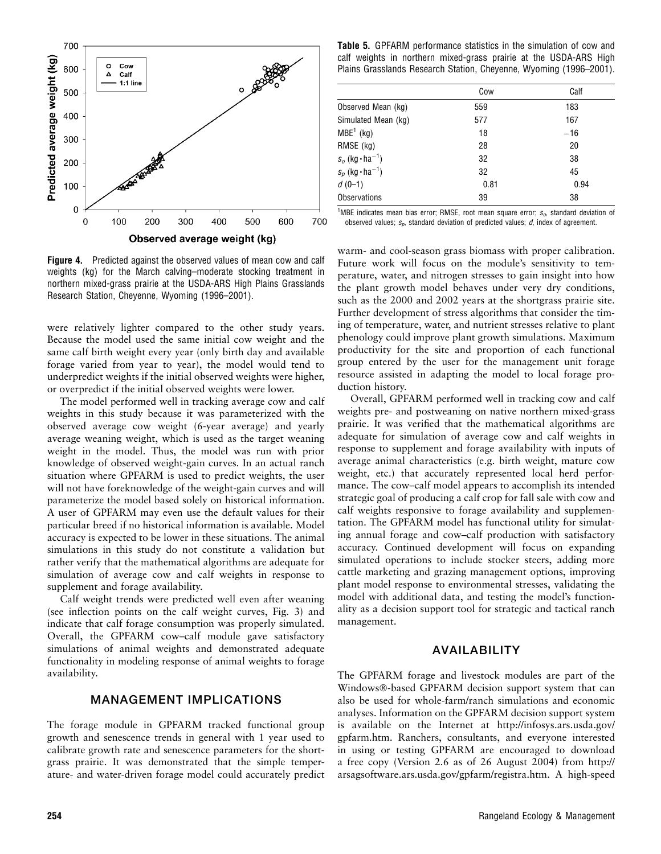

Figure 4. Predicted against the observed values of mean cow and calf weights (kg) for the March calving–moderate stocking treatment in northern mixed-grass prairie at the USDA-ARS High Plains Grasslands Research Station, Cheyenne, Wyoming (1996–2001).

were relatively lighter compared to the other study years. Because the model used the same initial cow weight and the same calf birth weight every year (only birth day and available forage varied from year to year), the model would tend to underpredict weights if the initial observed weights were higher, or overpredict if the initial observed weights were lower.

The model performed well in tracking average cow and calf weights in this study because it was parameterized with the observed average cow weight (6-year average) and yearly average weaning weight, which is used as the target weaning weight in the model. Thus, the model was run with prior knowledge of observed weight-gain curves. In an actual ranch situation where GPFARM is used to predict weights, the user will not have foreknowledge of the weight-gain curves and will parameterize the model based solely on historical information. A user of GPFARM may even use the default values for their particular breed if no historical information is available. Model accuracy is expected to be lower in these situations. The animal simulations in this study do not constitute a validation but rather verify that the mathematical algorithms are adequate for simulation of average cow and calf weights in response to supplement and forage availability.

Calf weight trends were predicted well even after weaning (see inflection points on the calf weight curves, Fig. 3) and indicate that calf forage consumption was properly simulated. Overall, the GPFARM cow–calf module gave satisfactory simulations of animal weights and demonstrated adequate functionality in modeling response of animal weights to forage availability.

# MANAGEMENT IMPLICATIONS

The forage module in GPFARM tracked functional group growth and senescence trends in general with 1 year used to calibrate growth rate and senescence parameters for the shortgrass prairie. It was demonstrated that the simple temperature- and water-driven forage model could accurately predict

|                                      | Cow  | Calf  |
|--------------------------------------|------|-------|
| Observed Mean (kg)                   | 559  | 183   |
| Simulated Mean (kg)                  | 577  | 167   |
| $MBE1$ (kg)                          | 18   | $-16$ |
| RMSE (kg)                            | 28   | 20    |
| $s_o$ (kg $\cdot$ ha <sup>-1</sup> ) | 32   | 38    |
| $s_p$ (kg $\cdot$ ha <sup>-1</sup> ) | 32   | 45    |
| $d(0-1)$                             | 0.81 | 0.94  |
| <b>Observations</b>                  | 39   | 38    |

<sup>1</sup>MBE indicates mean bias error; RMSE, root mean square error;  $s_o$ , standard deviation of observed values;  $s_n$ , standard deviation of predicted values;  $d$ , index of agreement.

warm- and cool-season grass biomass with proper calibration. Future work will focus on the module's sensitivity to temperature, water, and nitrogen stresses to gain insight into how the plant growth model behaves under very dry conditions, such as the 2000 and 2002 years at the shortgrass prairie site. Further development of stress algorithms that consider the timing of temperature, water, and nutrient stresses relative to plant phenology could improve plant growth simulations. Maximum productivity for the site and proportion of each functional group entered by the user for the management unit forage resource assisted in adapting the model to local forage production history.

Overall, GPFARM performed well in tracking cow and calf weights pre- and postweaning on native northern mixed-grass prairie. It was verified that the mathematical algorithms are adequate for simulation of average cow and calf weights in response to supplement and forage availability with inputs of average animal characteristics (e.g. birth weight, mature cow weight, etc.) that accurately represented local herd performance. The cow–calf model appears to accomplish its intended strategic goal of producing a calf crop for fall sale with cow and calf weights responsive to forage availability and supplementation. The GPFARM model has functional utility for simulating annual forage and cow–calf production with satisfactory accuracy. Continued development will focus on expanding simulated operations to include stocker steers, adding more cattle marketing and grazing management options, improving plant model response to environmental stresses, validating the model with additional data, and testing the model's functionality as a decision support tool for strategic and tactical ranch management.

## AVAILABILITY

The GPFARM forage and livestock modules are part of the Windows®-based GPFARM decision support system that can also be used for whole-farm/ranch simulations and economic analyses. Information on the GPFARM decision support system is available on the Internet at http://infosys.ars.usda.gov/ gpfarm.htm. Ranchers, consultants, and everyone interested in using or testing GPFARM are encouraged to download a free copy (Version 2.6 as of 26 August 2004) from http:// arsagsoftware.ars.usda.gov/gpfarm/registra.htm. A high-speed